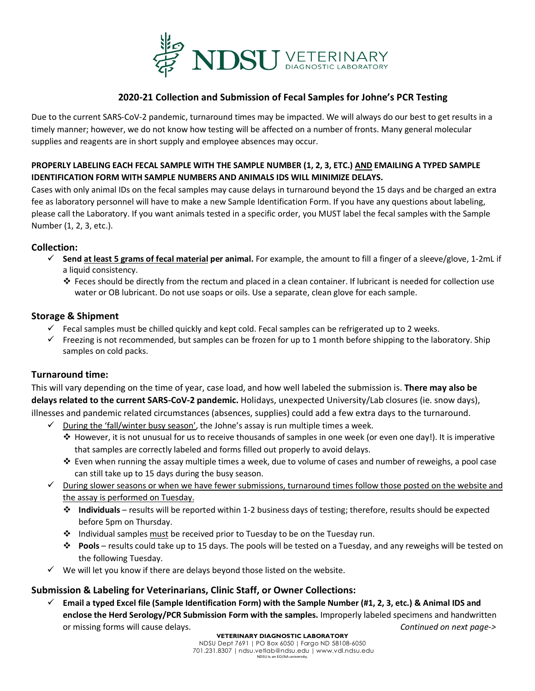

### **2020-21 Collection and Submission of Fecal Samples for Johne's PCR Testing**

Due to the current SARS-CoV-2 pandemic, turnaround times may be impacted. We will always do our best to get results in a timely manner; however, we do not know how testing will be affected on a number of fronts. Many general molecular supplies and reagents are in short supply and employee absences may occur.

#### **PROPERLY LABELING EACH FECAL SAMPLE WITH THE SAMPLE NUMBER (1, 2, 3, ETC.) AND EMAILING A TYPED SAMPLE IDENTIFICATION FORM WITH SAMPLE NUMBERS AND ANIMALS IDS WILL MINIMIZE DELAYS.**

Cases with only animal IDs on the fecal samples may cause delays in turnaround beyond the 15 days and be charged an extra fee as laboratory personnel will have to make a new Sample Identification Form. If you have any questions about labeling, please call the Laboratory. If you want animals tested in a specific order, you MUST label the fecal samples with the Sample Number (1, 2, 3, etc.).

#### **Collection:**

- **Send at least 5 grams of fecal material per animal.** For example, the amount to fill a finger of a sleeve/glove, 1-2mL if a liquid consistency.
	- $\cdot$  Feces should be directly from the rectum and placed in a clean container. If lubricant is needed for collection use water or OB lubricant. Do not use soaps or oils. Use a separate, clean glove for each sample.

#### **Storage & Shipment**

- $\checkmark$  Fecal samples must be chilled quickly and kept cold. Fecal samples can be refrigerated up to 2 weeks.
- $\checkmark$  Freezing is not recommended, but samples can be frozen for up to 1 month before shipping to the laboratory. Ship samples on cold packs.

## **Turnaround time:**

This will vary depending on the time of year, case load, and how well labeled the submission is. **There may also be delays related to the current SARS-CoV-2 pandemic.** Holidays, unexpected University/Lab closures (ie. snow days), illnesses and pandemic related circumstances (absences, supplies) could add a few extra days to the turnaround.

- $\checkmark$  During the 'fall/winter busy season', the Johne's assay is run multiple times a week.
	- $\clubsuit$  However, it is not unusual for us to receive thousands of samples in one week (or even one day!). It is imperative that samples are correctly labeled and forms filled out properly to avoid delays.
	- Even when running the assay multiple times a week, due to volume of cases and number of reweighs, a pool case can still take up to 15 days during the busy season.
- $\checkmark$  During slower seasons or when we have fewer submissions, turnaround times follow those posted on the website and the assay is performed on Tuesday.
	- **Individuals** results will be reported within 1-2 business days of testing; therefore, results should be expected before 5pm on Thursday.
	- Individual samples must be received prior to Tuesday to be on the Tuesday run.
	- **Pools** results could take up to 15 days. The pools will be tested on a Tuesday, and any reweighs will be tested on the following Tuesday.
- $\checkmark$  We will let you know if there are delays beyond those listed on the website.

## **Submission & Labeling for Veterinarians, Clinic Staff, or Owner Collections:**

 **Email a typed Excel file (Sample Identification Form) with the Sample Number (#1, 2, 3, etc.) & Animal IDS and enclose the Herd Serology/PCR Submission Form with the samples.** Improperly labeled specimens and handwritten or missing forms will cause delays. *Continued on next page->*